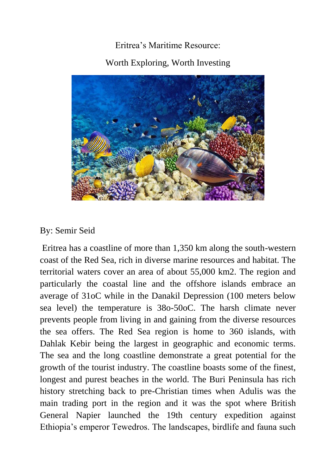## Eritrea's Maritime Resource: Worth Exploring, Worth Investing



## By: Semir Seid

Eritrea has a coastline of more than 1,350 km along the south-western coast of the Red Sea, rich in diverse marine resources and habitat. The territorial waters cover an area of about 55,000 km2. The region and particularly the coastal line and the offshore islands embrace an average of 31oC while in the Danakil Depression (100 meters below sea level) the temperature is 38o-50oC. The harsh climate never prevents people from living in and gaining from the diverse resources the sea offers. The Red Sea region is home to 360 islands, with Dahlak Kebir being the largest in geographic and economic terms. The sea and the long coastline demonstrate a great potential for the growth of the tourist industry. The coastline boasts some of the finest, longest and purest beaches in the world. The Buri Peninsula has rich history stretching back to pre-Christian times when Adulis was the main trading port in the region and it was the spot where British General Napier launched the 19th century expedition against Ethiopia's emperor Tewedros. The landscapes, birdlife and fauna such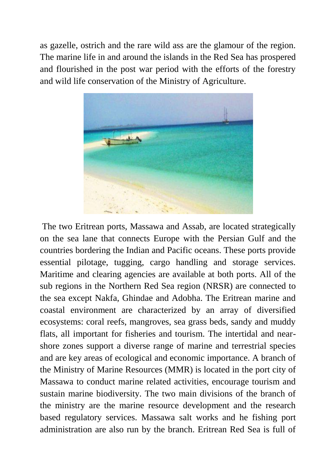as gazelle, ostrich and the rare wild ass are the glamour of the region. The marine life in and around the islands in the Red Sea has prospered and flourished in the post war period with the efforts of the forestry and wild life conservation of the Ministry of Agriculture.



The two Eritrean ports, Massawa and Assab, are located strategically on the sea lane that connects Europe with the Persian Gulf and the countries bordering the Indian and Pacific oceans. These ports provide essential pilotage, tugging, cargo handling and storage services. Maritime and clearing agencies are available at both ports. All of the sub regions in the Northern Red Sea region (NRSR) are connected to the sea except Nakfa, Ghindae and Adobha. The Eritrean marine and coastal environment are characterized by an array of diversified ecosystems: coral reefs, mangroves, sea grass beds, sandy and muddy flats, all important for fisheries and tourism. The intertidal and nearshore zones support a diverse range of marine and terrestrial species and are key areas of ecological and economic importance. A branch of the Ministry of Marine Resources (MMR) is located in the port city of Massawa to conduct marine related activities, encourage tourism and sustain marine biodiversity. The two main divisions of the branch of the ministry are the marine resource development and the research based regulatory services. Massawa salt works and he fishing port administration are also run by the branch. Eritrean Red Sea is full of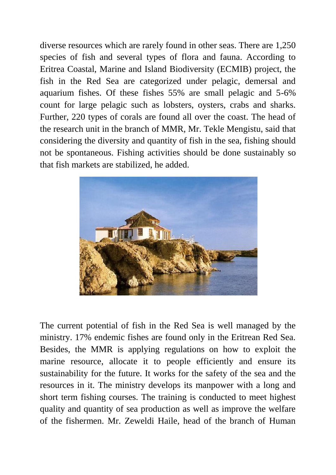diverse resources which are rarely found in other seas. There are 1,250 species of fish and several types of flora and fauna. According to Eritrea Coastal, Marine and Island Biodiversity (ECMIB) project, the fish in the Red Sea are categorized under pelagic, demersal and aquarium fishes. Of these fishes 55% are small pelagic and 5-6% count for large pelagic such as lobsters, oysters, crabs and sharks. Further, 220 types of corals are found all over the coast. The head of the research unit in the branch of MMR, Mr. Tekle Mengistu, said that considering the diversity and quantity of fish in the sea, fishing should not be spontaneous. Fishing activities should be done sustainably so that fish markets are stabilized, he added.



The current potential of fish in the Red Sea is well managed by the ministry. 17% endemic fishes are found only in the Eritrean Red Sea. Besides, the MMR is applying regulations on how to exploit the marine resource, allocate it to people efficiently and ensure its sustainability for the future. It works for the safety of the sea and the resources in it. The ministry develops its manpower with a long and short term fishing courses. The training is conducted to meet highest quality and quantity of sea production as well as improve the welfare of the fishermen. Mr. Zeweldi Haile, head of the branch of Human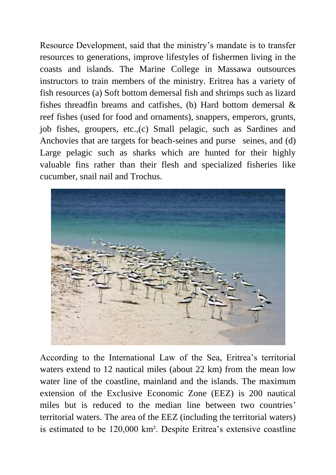Resource Development, said that the ministry's mandate is to transfer resources to generations, improve lifestyles of fishermen living in the coasts and islands. The Marine College in Massawa outsources instructors to train members of the ministry. Eritrea has a variety of fish resources (a) Soft bottom demersal fish and shrimps such as lizard fishes threadfin breams and catfishes, (b) Hard bottom demersal & reef fishes (used for food and ornaments), snappers, emperors, grunts, job fishes, groupers, etc.,(c) Small pelagic, such as Sardines and Anchovies that are targets for beach-seines and purse seines, and (d) Large pelagic such as sharks which are hunted for their highly valuable fins rather than their flesh and specialized fisheries like cucumber, snail nail and Trochus.



According to the International Law of the Sea, Eritrea's territorial waters extend to 12 nautical miles (about 22 km) from the mean low water line of the coastline, mainland and the islands. The maximum extension of the Exclusive Economic Zone (EEZ) is 200 nautical miles but is reduced to the median line between two countries' territorial waters. The area of the EEZ (including the territorial waters) is estimated to be 120,000 km². Despite Eritrea's extensive coastline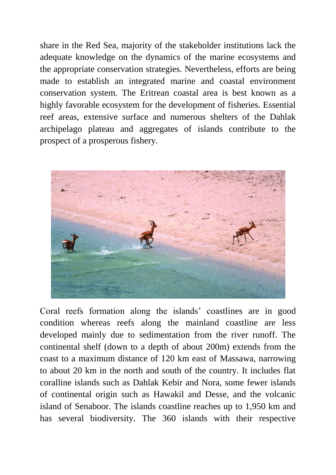share in the Red Sea, majority of the stakeholder institutions lack the adequate knowledge on the dynamics of the marine ecosystems and the appropriate conservation strategies. Nevertheless, efforts are being made to establish an integrated marine and coastal environment conservation system. The Eritrean coastal area is best known as a highly favorable ecosystem for the development of fisheries. Essential reef areas, extensive surface and numerous shelters of the Dahlak archipelago plateau and aggregates of islands contribute to the prospect of a prosperous fishery.



Coral reefs formation along the islands' coastlines are in good condition whereas reefs along the mainland coastline are less developed mainly due to sedimentation from the river runoff. The continental shelf (down to a depth of about 200m) extends from the coast to a maximum distance of 120 km east of Massawa, narrowing to about 20 km in the north and south of the country. It includes flat coralline islands such as Dahlak Kebir and Nora, some fewer islands of continental origin such as Hawakil and Desse, and the volcanic island of Senaboor. The islands coastline reaches up to 1,950 km and has several biodiversity. The 360 islands with their respective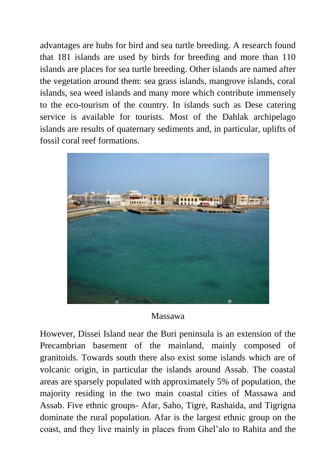advantages are hubs for bird and sea turtle breeding. A research found that 181 islands are used by birds for breeding and more than 110 islands are places for sea turtle breeding. Other islands are named after the vegetation around them: sea grass islands, mangrove islands, coral islands, sea weed islands and many more which contribute immensely to the eco-tourism of the country. In islands such as Dese catering service is available for tourists. Most of the Dahlak archipelago islands are results of quaternary sediments and, in particular, uplifts of fossil coral reef formations.



## Massawa

However, Dissei Island near the Buri peninsula is an extension of the Precambrian basement of the mainland, mainly composed of granitoids. Towards south there also exist some islands which are of volcanic origin, in particular the islands around Assab. The coastal areas are sparsely populated with approximately 5% of population, the majority residing in the two main coastal cities of Massawa and Assab. Five ethnic groups- Afar, Saho, Tigre, Rashaida, and Tigrigna dominate the rural population. Afar is the largest ethnic group on the coast, and they live mainly in places from Ghel'alo to Rahita and the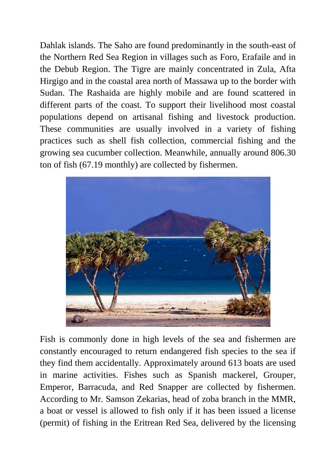Dahlak islands. The Saho are found predominantly in the south-east of the Northern Red Sea Region in villages such as Foro, Erafaile and in the Debub Region. The Tigre are mainly concentrated in Zula, Afta Hirgigo and in the coastal area north of Massawa up to the border with Sudan. The Rashaida are highly mobile and are found scattered in different parts of the coast. To support their livelihood most coastal populations depend on artisanal fishing and livestock production. These communities are usually involved in a variety of fishing practices such as shell fish collection, commercial fishing and the growing sea cucumber collection. Meanwhile, annually around 806.30 ton of fish (67.19 monthly) are collected by fishermen.



Fish is commonly done in high levels of the sea and fishermen are constantly encouraged to return endangered fish species to the sea if they find them accidentally. Approximately around 613 boats are used in marine activities. Fishes such as Spanish mackerel, Grouper, Emperor, Barracuda, and Red Snapper are collected by fishermen. According to Mr. Samson Zekarias, head of zoba branch in the MMR, a boat or vessel is allowed to fish only if it has been issued a license (permit) of fishing in the Eritrean Red Sea, delivered by the licensing